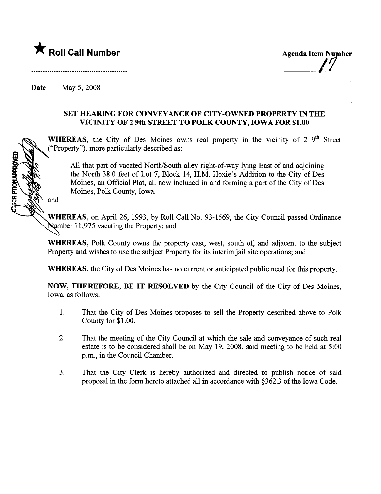

 $\sqrt{ }$ 

Date  $\frac{\text{May } 5, 2008}{\text{May } 5}$ 

## SET HEARING FOR CONVEYANCE OF CITY -OWNED PROPERTY IN THE VICINITY OF 29th STREET TO POLK COUNTY, IOWA FOR \$1.00

WHEREAS, the City of Des Moines owns real property in the vicinity of 2  $9<sup>th</sup>$  Street ("Property"), more paricularly described as:

All that part of vacated North/South alley right-of-way lying East of and adjoining the North 38.0 feet of Lot 7, Block 14, H.M. Hoxie's Addition to the City of Des Moines, an Official Plat, all now included in and forming a part of the City of Des Moines, Polk County, Iowa.

and

CRIPTION APPROVE

WHEREAS, on April 26, 1993, by Roll Call No. 93-1569, the City Council passed Ordinance Number 11,975 vacating the Property; and

WHEREAS, Polk County owns the property east, west, south of, and adjacent to the subject Property and wishes to use the subject Property for its interim jail site operations; and

WHEREAS, the City of Des Moines has no curent or anticipated public need for this property.

NOW, THEREFORE, BE IT RESOLVED by the City Council of the City of Des Moines, Iowa, as follows:

- 1. That the City of Des Moines proposes to sell the Property described above to Polk County for \$1.00.
- 2. That the meeting of the City Council at which the sale and conveyance of such real estate is to be considered shall be on May 19, 2008, said meeting to be held at 5:00 p.m., in the Council Chamber.
- 3. That the City Clerk is hereby authorized and directed to publish notice of said proposal in the form hereto attached all in accordance with §362.3 of the Iowa Code.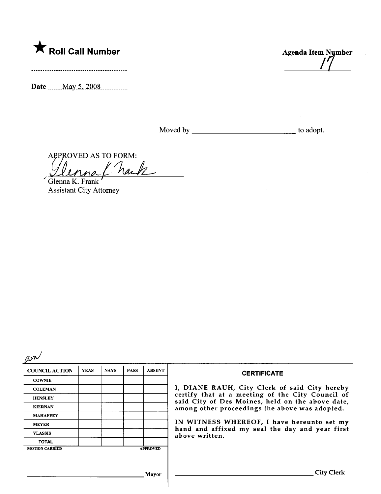

Date \_\_\_\_\_ May 5, 2008 \_\_\_\_\_\_\_\_\_

**Agenda Item Nymber** 

APPROVED AS TO FORM: nack

Glenna K. Frank **Assistant City Attorney** 

 $\beta$ 

| <b>COUNCIL ACTION</b> | <b>YEAS</b> | <b>NAYS</b> | <b>PASS</b> | <b>ABSENT</b>   | <b>CERTIFICATE</b>                                                                                                                                                                                                                                                                                                         |
|-----------------------|-------------|-------------|-------------|-----------------|----------------------------------------------------------------------------------------------------------------------------------------------------------------------------------------------------------------------------------------------------------------------------------------------------------------------------|
| <b>COWNIE</b>         |             |             |             |                 |                                                                                                                                                                                                                                                                                                                            |
| <b>COLEMAN</b>        |             |             |             |                 | I, DIANE RAUH, City Clerk of said City hereby<br>certify that at a meeting of the City Council of<br>said City of Des Moines, held on the above date,<br>among other proceedings the above was adopted.<br>IN WITNESS WHEREOF, I have hereunto set my<br>hand and affixed my seal the day and year first<br>above written. |
| <b>HENSLEY</b>        |             |             |             |                 |                                                                                                                                                                                                                                                                                                                            |
| <b>KIERNAN</b>        |             |             |             |                 |                                                                                                                                                                                                                                                                                                                            |
| <b>MAHAFFEY</b>       |             |             |             |                 |                                                                                                                                                                                                                                                                                                                            |
| <b>MEYER</b>          |             |             |             |                 |                                                                                                                                                                                                                                                                                                                            |
| <b>VLASSIS</b>        |             |             |             |                 |                                                                                                                                                                                                                                                                                                                            |
| <b>TOTAL</b>          |             |             |             |                 |                                                                                                                                                                                                                                                                                                                            |
| <b>MOTION CARRIED</b> |             |             |             | <b>APPROVED</b> |                                                                                                                                                                                                                                                                                                                            |
|                       |             |             |             |                 |                                                                                                                                                                                                                                                                                                                            |
|                       |             |             |             |                 |                                                                                                                                                                                                                                                                                                                            |
|                       |             |             |             | Mayor           | City Clerk                                                                                                                                                                                                                                                                                                                 |